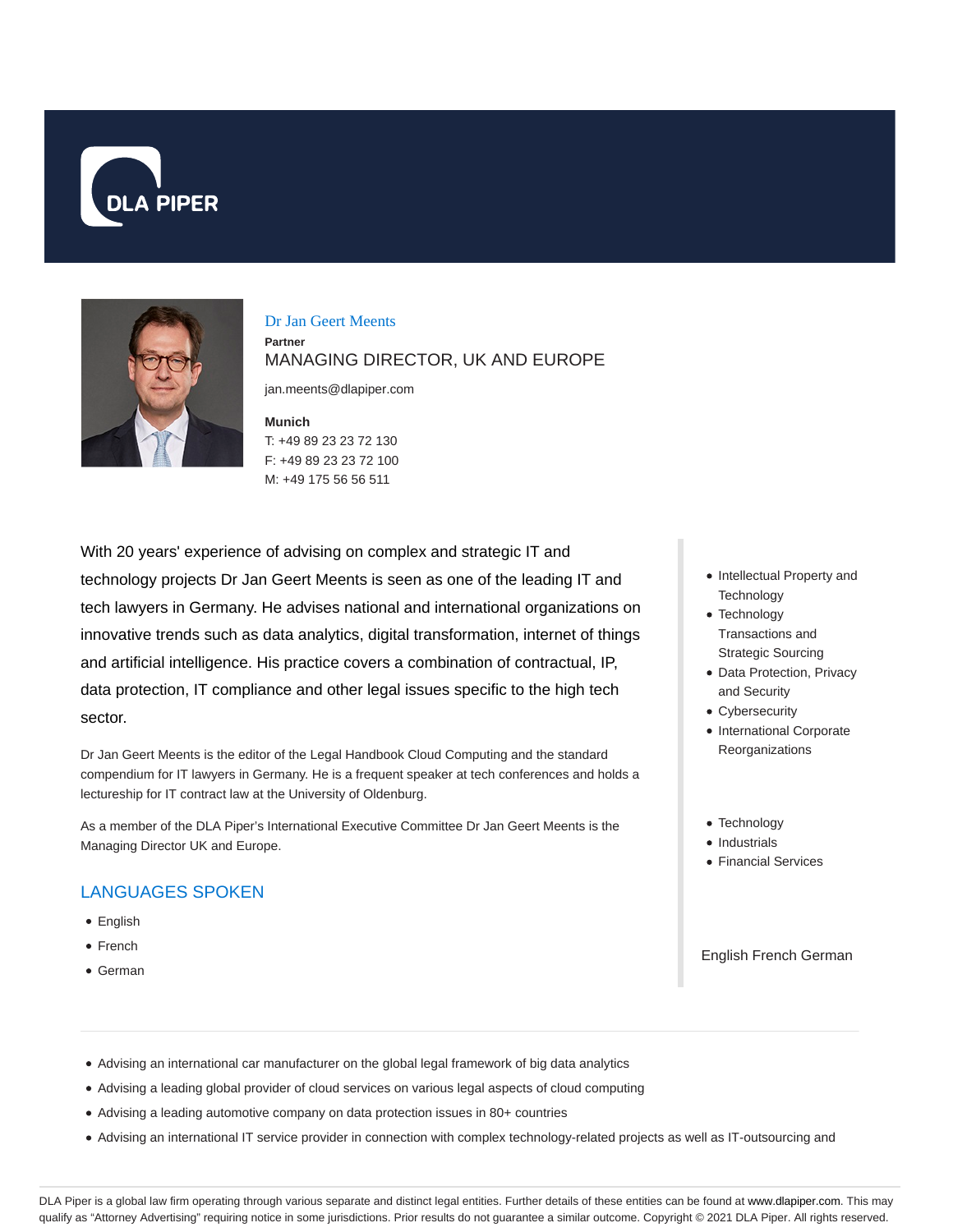



Dr Jan Geert Meents **Partner** MANAGING DIRECTOR, UK AND EUROPE

jan.meents@dlapiper.com

**Munich**

T: +49 89 23 23 72 130 F: +49 89 23 23 72 100 M: +49 175 56 56 511

With 20 years' experience of advising on complex and strategic IT and technology projects Dr Jan Geert Meents is seen as one of the leading IT and tech lawyers in Germany. He advises national and international organizations on innovative trends such as data analytics, digital transformation, internet of things and artificial intelligence. His practice covers a combination of contractual, IP, data protection, IT compliance and other legal issues specific to the high tech sector.

Dr Jan Geert Meents is the editor of the Legal Handbook Cloud Computing and the standard compendium for IT lawyers in Germany. He is a frequent speaker at tech conferences and holds a lectureship for IT contract law at the University of Oldenburg.

As a member of the DLA Piper's International Executive Committee Dr Jan Geert Meents is the Managing Director UK and Europe.

# LANGUAGES SPOKEN

- English
- French
- German
- Intellectual Property and **Technology**
- Technology Transactions and Strategic Sourcing
- Data Protection, Privacy and Security
- Cybersecurity
- International Corporate Reorganizations
- Technology
- Industrials
- **Financial Services**

### English French German

- Advising an international car manufacturer on the global legal framework of big data analytics
- Advising a leading global provider of cloud services on various legal aspects of cloud computing
- Advising a leading automotive company on data protection issues in 80+ countries
- Advising an international IT service provider in connection with complex technology-related projects as well as IT-outsourcing and

DLA Piper is a global law firm operating through various separate and distinct legal entities. Further details of these entities can be found at www.dlapiper.com. This may qualify as "Attorney Advertising" requiring notice in some jurisdictions. Prior results do not guarantee a similar outcome. Copyright © 2021 DLA Piper. All rights reserved.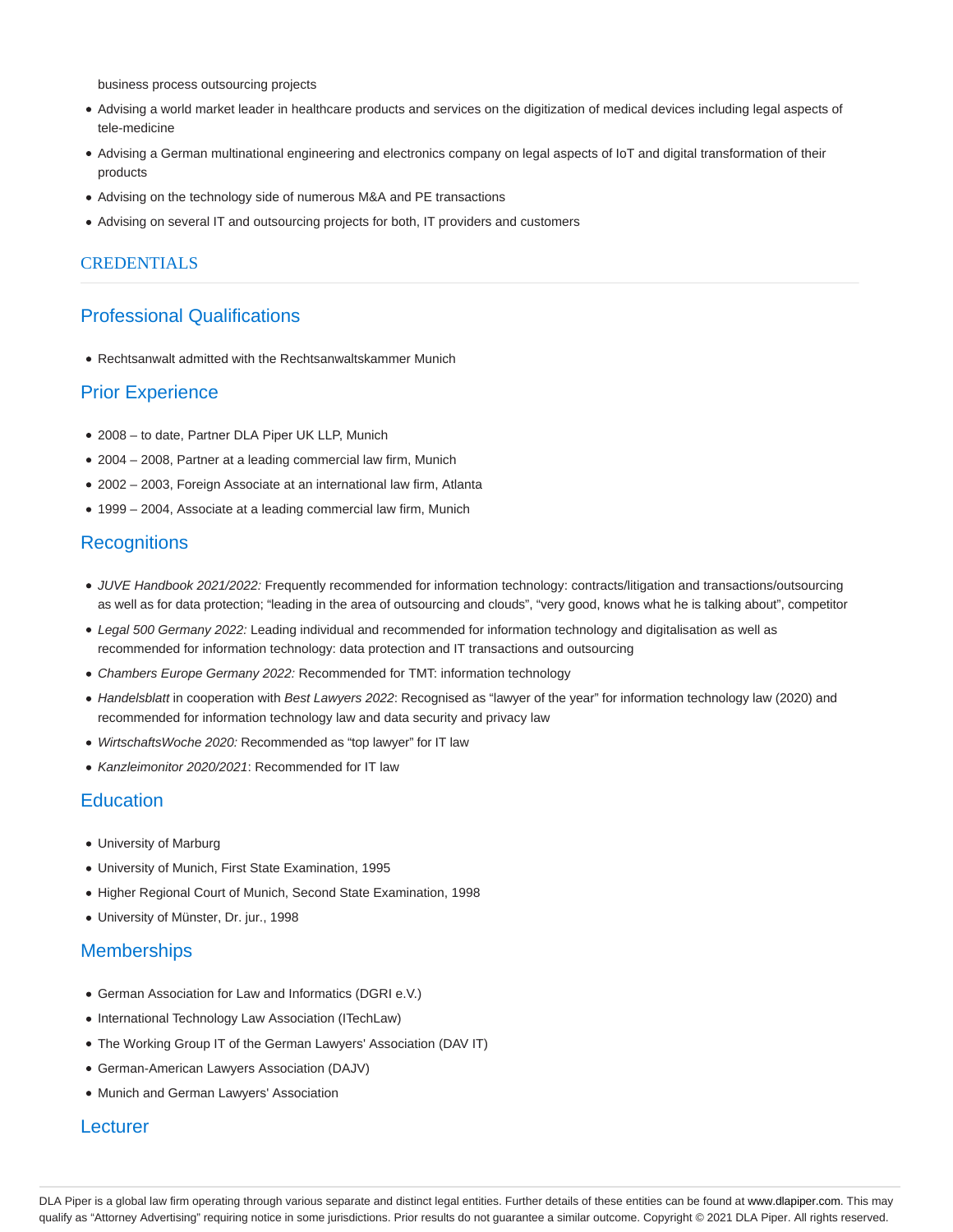business process outsourcing projects

- Advising a world market leader in healthcare products and services on the digitization of medical devices including legal aspects of tele-medicine
- Advising a German multinational engineering and electronics company on legal aspects of IoT and digital transformation of their products
- Advising on the technology side of numerous M&A and PE transactions
- Advising on several IT and outsourcing projects for both, IT providers and customers

## **CREDENTIALS**

# Professional Qualifications

Rechtsanwalt admitted with the Rechtsanwaltskammer Munich

# Prior Experience

- 2008 to date, Partner DLA Piper UK LLP, Munich
- 2004 2008, Partner at a leading commercial law firm, Munich
- 2002 2003, Foreign Associate at an international law firm, Atlanta
- 1999 2004, Associate at a leading commercial law firm, Munich

## **Recognitions**

- JUVE Handbook 2021/2022: Frequently recommended for information technology: contracts/litigation and transactions/outsourcing as well as for data protection; "leading in the area of outsourcing and clouds", "very good, knows what he is talking about", competitor
- Legal 500 Germany 2022: Leading individual and recommended for information technology and digitalisation as well as recommended for information technology: data protection and IT transactions and outsourcing
- Chambers Europe Germany 2022: Recommended for TMT: information technology
- Handelsblatt in cooperation with Best Lawyers 2022: Recognised as "lawyer of the year" for information technology law (2020) and recommended for information technology law and data security and privacy law
- WirtschaftsWoche 2020: Recommended as "top lawyer" for IT law
- Kanzleimonitor 2020/2021: Recommended for IT law

## **Education**

- University of Marburg
- University of Munich, First State Examination, 1995
- Higher Regional Court of Munich, Second State Examination, 1998
- University of Münster, Dr. jur., 1998

### **Memberships**

- German Association for Law and Informatics (DGRI e.V.)
- International Technology Law Association (ITechLaw)
- The Working Group IT of the German Lawyers' Association (DAV IT)
- German-American Lawyers Association (DAJV)
- Munich and German Lawyers' Association

## **Lecturer**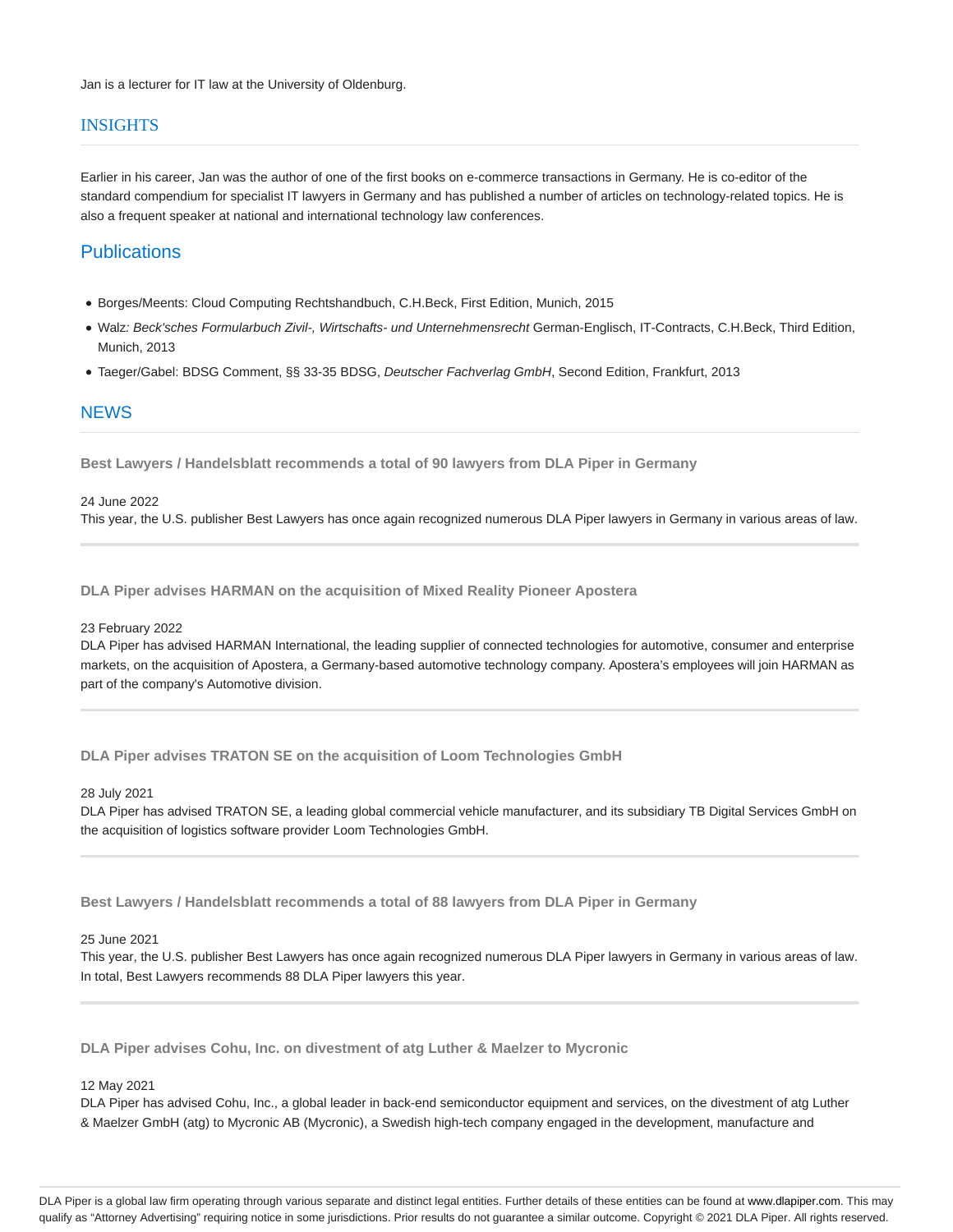## **INSIGHTS**

Earlier in his career, Jan was the author of one of the first books on e-commerce transactions in Germany. He is co-editor of the standard compendium for specialist IT lawyers in Germany and has published a number of articles on technology-related topics. He is also a frequent speaker at national and international technology law conferences.

# **Publications**

- Borges/Meents: Cloud Computing Rechtshandbuch, C.H.Beck, First Edition, Munich, 2015
- Walz: Beck'sches Formularbuch Zivil-, Wirtschafts- und Unternehmensrecht German-Englisch, IT-Contracts, C.H.Beck, Third Edition, Munich, 2013
- Taeger/Gabel: BDSG Comment, §§ 33-35 BDSG, Deutscher Fachverlag GmbH, Second Edition, Frankfurt, 2013

## **NEWS**

**Best Lawyers / Handelsblatt recommends a total of 90 lawyers from DLA Piper in Germany**

#### 24 June 2022

This year, the U.S. publisher Best Lawyers has once again recognized numerous DLA Piper lawyers in Germany in various areas of law.

**DLA Piper advises HARMAN on the acquisition of Mixed Reality Pioneer Apostera**

#### 23 February 2022

DLA Piper has advised HARMAN International, the leading supplier of connected technologies for automotive, consumer and enterprise markets, on the acquisition of Apostera, a Germany-based automotive technology company. Apostera's employees will join HARMAN as part of the company's Automotive division.

**DLA Piper advises TRATON SE on the acquisition of Loom Technologies GmbH**

#### 28 July 2021

DLA Piper has advised TRATON SE, a leading global commercial vehicle manufacturer, and its subsidiary TB Digital Services GmbH on the acquisition of logistics software provider Loom Technologies GmbH.

**Best Lawyers / Handelsblatt recommends a total of 88 lawyers from DLA Piper in Germany**

### 25 June 2021

This year, the U.S. publisher Best Lawyers has once again recognized numerous DLA Piper lawyers in Germany in various areas of law. In total, Best Lawyers recommends 88 DLA Piper lawyers this year.

**DLA Piper advises Cohu, Inc. on divestment of atg Luther & Maelzer to Mycronic**

### 12 May 2021

DLA Piper has advised Cohu, Inc., a global leader in back-end semiconductor equipment and services, on the divestment of atg Luther & Maelzer GmbH (atg) to Mycronic AB (Mycronic), a Swedish high-tech company engaged in the development, manufacture and

DLA Piper is a global law firm operating through various separate and distinct legal entities. Further details of these entities can be found at www.dlapiper.com. This may qualify as "Attorney Advertising" requiring notice in some jurisdictions. Prior results do not guarantee a similar outcome. Copyright @ 2021 DLA Piper. All rights reserved.